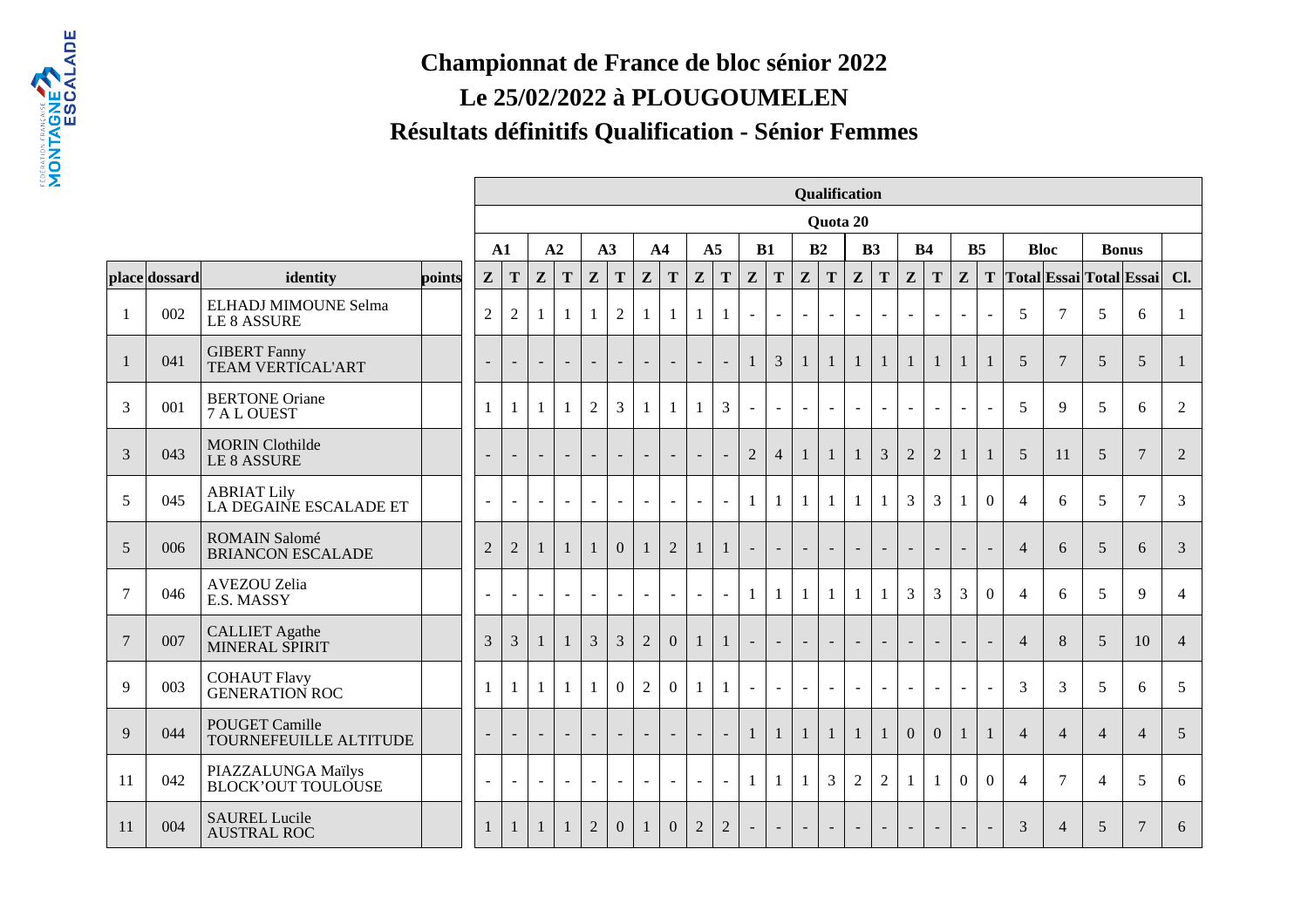## **Championnat de France de bloc sénior 2022Le 25/02/2022 à PLOUGOUMELENRésultats définitifs Qualification - Sénior Femmes**

FEDERING AND ESCALADE

|                |               |                                                 |        |                          |                          |                          |                          |                |                          |                          |                          |                          |                |                          |                          |                          | Qualification  |                |                          |                          |                          |                          |                |                |                 |                |                         |                |
|----------------|---------------|-------------------------------------------------|--------|--------------------------|--------------------------|--------------------------|--------------------------|----------------|--------------------------|--------------------------|--------------------------|--------------------------|----------------|--------------------------|--------------------------|--------------------------|----------------|----------------|--------------------------|--------------------------|--------------------------|--------------------------|----------------|----------------|-----------------|----------------|-------------------------|----------------|
|                |               |                                                 |        |                          |                          |                          |                          |                |                          |                          |                          |                          |                |                          |                          |                          | Quota 20       |                |                          |                          |                          |                          |                |                |                 |                |                         |                |
|                |               |                                                 |        |                          | ${\bf A1}$               |                          | A2                       |                | A3                       | A <sub>4</sub>           |                          | A <sub>5</sub>           |                |                          | B1                       |                          | B2             | B3             |                          | <b>B4</b>                |                          |                          | B <sub>5</sub> | <b>Bloc</b>    |                 |                | <b>Bonus</b>            |                |
|                | place dossard | identity                                        | points | ${\bf z}$                | ${\bf T}$                | $\mathbf{Z}$             | T                        | $\mathbf{Z}$   | ${\bf T}$                | $\mathbf{Z}$             | T                        | $\mathbf{Z}$             | T              | $\mathbf{Z}$             | ${\bf T}$                | Z                        | $\mathbf T$    | $\mathbf{Z}$   | T                        | $\mathbf{Z}$             | T                        | ${\bf z}$                | T              |                |                 |                | Total Essai Total Essai | Cl.            |
|                | 002           | ELHADJ MIMOUNE Selma<br><b>LE 8 ASSURE</b>      |        | $\mathfrak{2}$           | $\sqrt{2}$               | 1                        |                          | 1              | $\overline{2}$           | $\mathbf{1}$             |                          |                          | 1              | $\blacksquare$           | $\omega$                 | $\overline{\phantom{a}}$ | $\sim$         | $\omega$       | $\sim$                   | $\blacksquare$           | $\blacksquare$           | $\blacksquare$           | $\blacksquare$ | 5              | $\overline{7}$  | 5              | 6                       |                |
|                | 041           | <b>GIBERT</b> Fanny<br><b>TEAM VERTICAL'ART</b> |        |                          | $\sim$                   | $\overline{\phantom{a}}$ | $\overline{\phantom{a}}$ | $\blacksquare$ | $\overline{\phantom{a}}$ | $\blacksquare$           | $\sim$                   | $\sim$                   | $\mathbb{L}$   | $\mathbf{1}$             | 3                        | $\mathbf{1}$             | 1              | $\mathbf{1}$   | $\mathbf{1}$             | $\mathbf{1}$             | $\mathbf{1}$             | 1                        | $\mathbf{1}$   | 5              | $7\phantom{.0}$ | 5              | $\overline{5}$          | 1              |
| 3              | 001           | <b>BERTONE Oriane</b><br>7 A L OUEST            |        | 1                        | 1                        |                          |                          | $\overline{2}$ | 3                        | $\mathbf{1}$             | 1                        |                          | $\overline{3}$ | $\mathbf{r}$             | $\blacksquare$           | $\overline{\phantom{a}}$ |                | $\omega$       | $\sim$                   | $\blacksquare$           | $\sim$                   | $\sim$                   | $\blacksquare$ | 5              | 9               | 5              | 6                       | 2              |
| 3              | 043           | <b>MORIN</b> Clothilde<br><b>LE 8 ASSURE</b>    |        |                          | $\sim$                   | $\overline{\phantom{a}}$ | $\blacksquare$           | $\sim$         | $\overline{\phantom{a}}$ | $\sim$                   | $\sim$                   | $\overline{\phantom{a}}$ | $\sim$         | $\mathbf{2}$             | $\overline{4}$           | $\mathbf{1}$             | -1             | $\mathbf{1}$   | 3                        | $\overline{2}$           | $\overline{2}$           | -1                       | $\mathbf{1}$   | 5              | 11              | 5              | $\overline{7}$          | $\overline{2}$ |
| 5              | 045           | <b>ABRIAT Lily</b><br>LA DEGAINE ESCALADE ET    |        | $\overline{\phantom{a}}$ | $\sim$                   | $\overline{\phantom{a}}$ | $\sim$                   | $\sim$         | $\sim$                   | $\omega$                 | $\sim$                   | $\blacksquare$           | $\sim$         | $\mathbf{1}$             | $\mathbf{1}$             | 1                        | -1             | $\mathbf{1}$   | 1                        | 3                        | 3                        |                          | $\overline{0}$ | $\overline{4}$ | 6               | 5              | 7                       | 3              |
| 5              | 006           | ROMAIN Salomé<br><b>BRIANCON ESCALADE</b>       |        | $\overline{2}$           | $\overline{2}$           | $\mathbf{1}$             |                          | $\mathbf{1}$   | $\overline{0}$           | $\mathbf{1}$             | $\overline{2}$           |                          | $\mathbf{1}$   |                          | $\equiv$                 |                          |                | $\equiv$       | $\sim$                   | $\blacksquare$           |                          |                          | $\blacksquare$ | $\overline{4}$ | 6               | 5              | 6                       | 3              |
| $\overline{7}$ | 046           | AVEZOU Zelia<br>E.S. MASSY                      |        | $\overline{\phantom{a}}$ | $\sim$                   | $\blacksquare$           |                          | $\sim$         | $\blacksquare$           | $\blacksquare$           | $\sim$                   | $\sim$                   | $\sim$         | $\mathbf{1}$             | $\mathbf{1}$             | 1                        | $\mathbf{1}$   | $\mathbf{1}$   | $\mathbf{1}$             | 3                        | $\overline{3}$           | 3                        | $\overline{0}$ | $\overline{4}$ | 6               | 5              | 9                       | $\overline{4}$ |
| $\overline{7}$ | 007           | <b>CALLIET</b> Agathe<br>MINERAL SPIRIT         |        | 3                        | 3                        | 1                        |                          | $\overline{3}$ | $\overline{3}$           | $\overline{2}$           | $\boldsymbol{0}$         | $\perp$                  | $\mathbf{1}$   | $\blacksquare$           | $\Box$                   | $\blacksquare$           | $\blacksquare$ | $\blacksquare$ | $\overline{\phantom{a}}$ | $\sim$                   | $\blacksquare$           | $\overline{\phantom{a}}$ | $\mathbb{L}$   | $\overline{4}$ | 8               | $\mathfrak{S}$ | 10                      | $\overline{4}$ |
| $\mathbf{Q}$   | 003           | <b>COHAUT Flavy<br/>GENERATION ROC</b>          |        | 1                        | 1                        | $\mathbf{1}$             |                          | $\mathbf{1}$   | $\theta$                 | $\overline{2}$           | $\overline{0}$           | $\mathbf{1}$             | $\mathbf{1}$   | $\blacksquare$           | $\sim$                   |                          |                | $\sim$         | $\blacksquare$           | $\sim$                   | $\blacksquare$           |                          | $\omega$       | 3              | $\overline{3}$  | 5              | 6                       | 5              |
| 9              | 044           | <b>POUGET Camille</b><br>TOURNEFEUILLE ALTITUDE |        |                          | $\overline{\phantom{a}}$ | $\blacksquare$           | $\overline{\phantom{a}}$ | $\blacksquare$ | $\overline{\phantom{a}}$ | $\overline{\phantom{a}}$ | $\overline{\phantom{a}}$ | $\overline{\phantom{a}}$ | $\mathbb{L}^2$ | $\mathbf{1}$             | $\mathbf{1}$             | 1                        | -1             | $\mathbf{1}$   | 1                        | $\overline{0}$           | $\mathbf{0}$             | 1                        | $\mathbf{1}$   | $\overline{4}$ | $\overline{4}$  | $\overline{4}$ | $\overline{4}$          | 5              |
| 11             | 042           | PIAZZALUNGA Maïlys<br><b>BLOCK'OUT TOULOUSE</b> |        | $\overline{\phantom{a}}$ | $\sim$                   | $\sim$                   | $\sim$                   | $\sim$         | $\overline{\phantom{a}}$ | $\sim$                   | $\overline{\phantom{a}}$ | $\sim$                   | $\sim$         | 1                        | $\mathbf{1}$             |                          | 3              | $\overline{2}$ | $\overline{2}$           | $\mathbf{1}$             |                          | $\Omega$                 | $\Omega$       | $\overline{4}$ | $\tau$          | $\overline{4}$ | 5                       | 6              |
| 11             | 004           | <b>SAUREL Lucile</b><br><b>AUSTRAL ROC</b>      |        |                          | $\mathbf{I}$             | 1                        |                          | $\overline{2}$ | $\mathbf{0}$             | 1                        | $\boldsymbol{0}$         | $\overline{2}$           | $\sqrt{2}$     | $\overline{\phantom{a}}$ | $\overline{\phantom{a}}$ | $\overline{\phantom{a}}$ | $\sim$         | $\sim$         | $\overline{\phantom{a}}$ | $\overline{\phantom{a}}$ | $\overline{\phantom{a}}$ | $\sim$                   | $\blacksquare$ | 3              | $\overline{4}$  | 5              | $\overline{7}$          | 6              |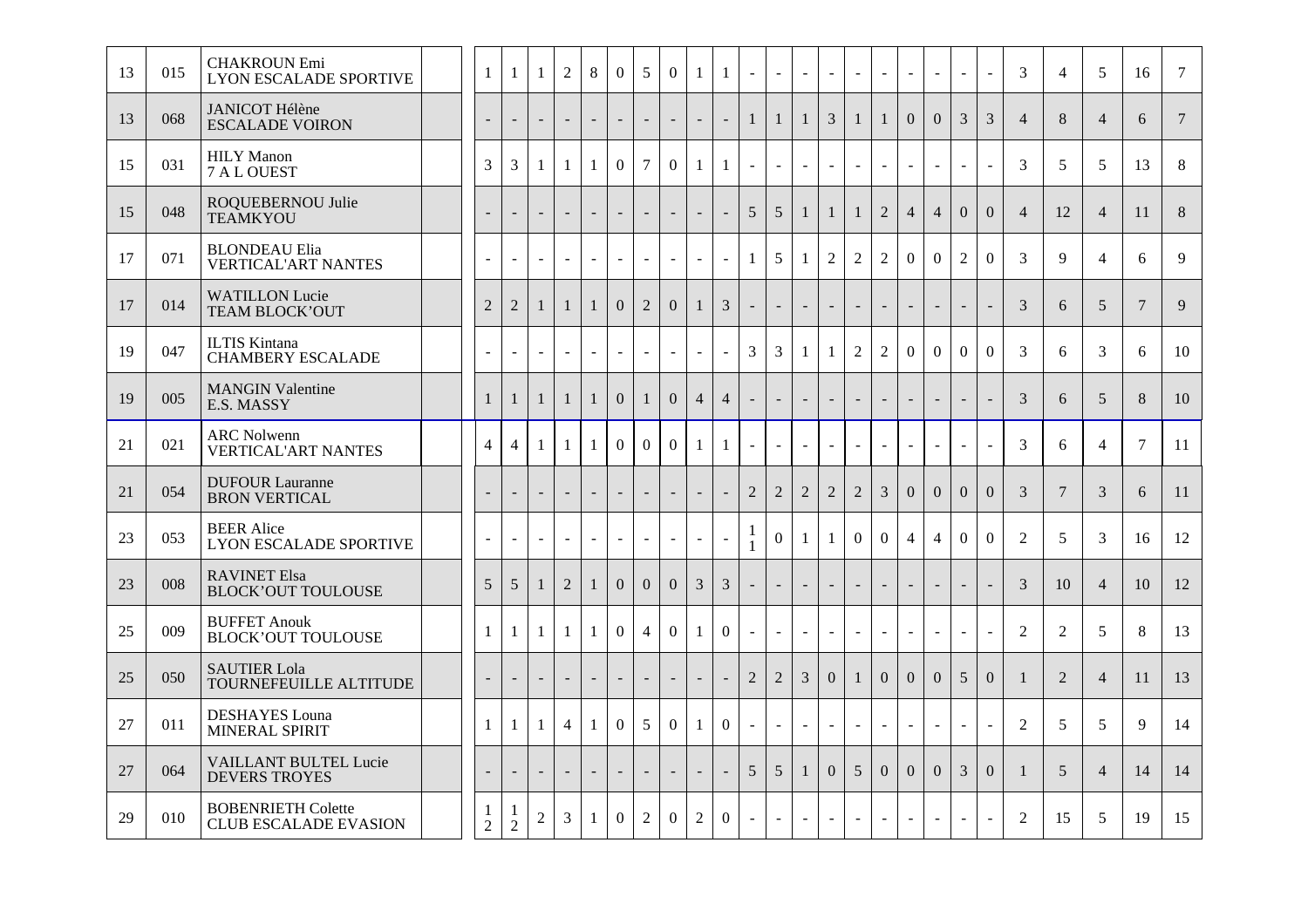| 13 | 015 | <b>CHAKROUN Emi</b><br><b>LYON ESCALADE SPORTIVE</b>      | $\mathbf{1}$             | $\mathbf{1}$     | -1                       | $\overline{2}$ | 8                        | $\overline{0}$           | 5                        | $\overline{0}$ | -1             | $\mathbf{1}$             | $\mathcal{L}$     |                | $\sim$         |                | $\mathbb{Z}^2$           | $\sim$         |                | $\sim$         |                  | $\mathbf{r}$   | 3              | $\overline{4}$ | 5               | 16              | 7              |
|----|-----|-----------------------------------------------------------|--------------------------|------------------|--------------------------|----------------|--------------------------|--------------------------|--------------------------|----------------|----------------|--------------------------|-------------------|----------------|----------------|----------------|--------------------------|----------------|----------------|----------------|------------------|----------------|----------------|----------------|-----------------|-----------------|----------------|
| 13 | 068 | <b>JANICOT Hélène</b><br><b>ESCALADE VOIRON</b>           |                          |                  | $\overline{\phantom{a}}$ |                | $\overline{\phantom{a}}$ | $\blacksquare$           |                          | $\overline{a}$ |                | $\sim$                   | $\mathbf{1}$      | 1              | 1              | 3              | $\mathbf{1}$             | $\mathbf{1}$   | $\Omega$       | $\overline{0}$ | 3                | 3              | $\overline{4}$ | 8              | $\overline{4}$  | 6               | $\overline{7}$ |
| 15 | 031 | <b>HILY</b> Manon<br>7 A L OUEST                          | 3                        | 3                | $\mathbf{1}$             | $\mathbf{1}$   | $\mathbf{1}$             | $\overline{0}$           | $\overline{7}$           | $\overline{0}$ | -1             | $\mathbf{1}$             | $\blacksquare$    |                | $\sim$         |                | $\blacksquare$           | $\sim$         |                | $\sim$         |                  | $\sim$         | 3              | 5              | 5               | 13              | 8              |
| 15 | 048 | ROQUEBERNOU Julie<br><b>TEAMKYOU</b>                      |                          |                  | $\blacksquare$           |                | $\overline{\phantom{a}}$ | $\overline{\phantom{a}}$ |                          | $\mathcal{L}$  |                | $\equiv$                 | $\overline{5}$    | 5              | $\mathbf{1}$   | $\mathbf{1}$   | $\mathbf{1}$             | $\overline{2}$ | $\overline{4}$ | $\overline{4}$ | $\mathbf{0}$     | $\overline{0}$ | $\overline{4}$ | 12             | $\overline{4}$  | 11              | $8\,$          |
| 17 | 071 | <b>BLONDEAU Elia</b><br><b>VERTICAL'ART NANTES</b>        | $\sim$                   |                  | $\blacksquare$           |                | $\equiv$                 | $\blacksquare$           | $\blacksquare$           | $\omega$       | $\sim$         | $\omega$                 | $\mathbf{1}$      | 5              | $\mathbf{1}$   | 2              | $\overline{2}$           | $\overline{2}$ | $\Omega$       | $\overline{0}$ | 2                | $\Omega$       | 3              | 9              | $\overline{4}$  | 6               | 9              |
| 17 | 014 | <b>WATILLON Lucie</b><br>TEAM BLOCK'OUT                   | $\overline{2}$           | $\overline{2}$   | -1                       | $\mathbf{1}$   | $\mathbf{1}$             | $\overline{0}$           | $\overline{2}$           | $\mathbf{0}$   | 1              | $\mathfrak{Z}$           | $\blacksquare$    |                | $\sim$         |                | $\overline{\phantom{a}}$ |                |                | $\blacksquare$ |                  | $\blacksquare$ | 3              | 6              | 5               | $7\phantom{.0}$ | 9              |
| 19 | 047 | <b>ILTIS Kintana</b><br><b>CHAMBERY ESCALADE</b>          | $\sim$                   |                  |                          |                | $\sim$                   | $\sim$                   |                          | $\blacksquare$ |                | $\omega$                 | $\mathfrak{Z}$    | 3              | $\mathbf{1}$   | -1             | $\overline{2}$           | $\overline{2}$ | $\overline{0}$ | $\Omega$       | $\boldsymbol{0}$ | $\Omega$       | 3              | 6              | 3               | 6               | 10             |
| 19 | 005 | <b>MANGIN Valentine</b><br>E.S. MASSY                     | $\mathbf{1}$             | $\mathbf{1}$     | $\mathbf{1}$             |                | $\mathbf{1}$             | $\Omega$                 | $\mathbf{1}$             | $\Omega$       | $\overline{4}$ | $\overline{4}$           | $\blacksquare$    |                | $\blacksquare$ |                | $\overline{\phantom{a}}$ |                |                | $\blacksquare$ |                  | $\blacksquare$ | 3              | 6              | $5\overline{)}$ | 8               | 10             |
| 21 | 021 | <b>ARC Nolwenn</b><br><b>VERTICAL'ART NANTES</b>          | $\overline{4}$           | $\overline{4}$   | $\mathbf{1}$             | 1              | 1                        | $\overline{0}$           | $\overline{0}$           | $\overline{0}$ | 1              | 1                        |                   |                | $\sim$         |                | $\sim$                   |                |                | $\sim$         |                  | $\overline{a}$ | 3              | 6              | $\overline{4}$  | $\tau$          | 11             |
| 21 | 054 | <b>DUFOUR Lauranne</b><br><b>BRON VERTICAL</b>            | $\overline{a}$           |                  | $\sim$                   |                | $\overline{\phantom{a}}$ | $\overline{\phantom{a}}$ |                          | $\sim$         | $\blacksquare$ | $\blacksquare$           | $\overline{2}$    | $\overline{2}$ | $\overline{2}$ | $\overline{2}$ | $\overline{2}$           | 3              | $\overline{0}$ | $\mathbf{0}$   | $\overline{0}$   | $\Omega$       | 3              | $\overline{7}$ | $\overline{3}$  | 6               | 11             |
| 23 | 053 | <b>BEER Alice</b><br><b>LYON ESCALADE SPORTIVE</b>        | $\blacksquare$           |                  | $\blacksquare$           | $\blacksquare$ | $\omega$                 | $\omega$                 | $\sim$                   | $\sim$         |                | $\equiv$                 | 1<br>$\mathbf{1}$ | $\Omega$       | $\mathbf{1}$   | $\mathbf{1}$   | $\overline{0}$           | $\overline{0}$ | $\overline{4}$ | $\overline{4}$ | $\Omega$         | $\Omega$       | $\overline{2}$ | 5              | 3               | 16              | 12             |
| 23 | 008 | <b>RAVINET Elsa</b><br><b>BLOCK'OUT TOULOUSE</b>          | 5                        | 5                | $\overline{1}$           | $\overline{2}$ | 1                        | $\overline{0}$           | $\overline{0}$           | $\overline{0}$ | 3              | $\mathfrak{Z}$           | $\overline{a}$    |                |                |                | $\sim$                   |                |                | $\sim$         |                  | $\overline{a}$ | 3              | 10             | $\overline{4}$  | 10              | 12             |
| 25 | 009 | <b>BUFFET Anouk</b><br><b>BLOCK'OUT TOULOUSE</b>          | $\mathbf{1}$             | -1               | $\mathbf{1}$             | $\mathbf{1}$   | $\mathbf{1}$             | $\overline{0}$           | $\overline{4}$           | $\Omega$       | 1              | $\overline{0}$           | $\sim$            |                | $\sim$         |                | $\equiv$                 | $\sim$         |                | $\sim$         |                  | $\sim$         | $\overline{2}$ | 2              | 5               | 8               | 13             |
| 25 | 050 | <b>SAUTIER Lola</b><br>TOURNEFEUILLE ALTITUDE             | $\overline{\phantom{a}}$ |                  | $\sim$                   |                | $\blacksquare$           | $\blacksquare$           |                          | $\sim$         |                | $\overline{\phantom{a}}$ | 2                 | $\overline{2}$ | $\overline{3}$ | $\overline{0}$ | $\mathbf{1}$             | $\overline{0}$ | $\Omega$       | $\overline{0}$ | 5                | $\Omega$       | $\overline{1}$ | 2              | $\overline{4}$  | 11              | 13             |
| 27 | 011 | <b>DESHAYES</b> Louna<br>MINERAL SPIRIT                   | $\mathbf{1}$             | -1               | -1                       | $\overline{4}$ | $\mathbf{1}$             | $\overline{0}$           | 5                        | $\overline{0}$ | -1             | $\overline{0}$           | $\blacksquare$    |                | $\sim$         |                | $\equiv$                 | $\sim$         |                | $\omega$       |                  | $\mathbf{r}$   | $\overline{2}$ | 5              | 5               | 9               | 14             |
| 27 | 064 | <b>VAILLANT BULTEL Lucie</b><br><b>DEVERS TROYES</b>      | $\blacksquare$           |                  | $\sim$                   | $\overline{a}$ | $\blacksquare$           | $\blacksquare$           | $\overline{\phantom{a}}$ | $\blacksquare$ |                | $\blacksquare$           | $\overline{5}$    | 5              | $\mathbf{1}$   | $\overline{0}$ | 5                        | $\overline{0}$ | $\Omega$       | $\Omega$       | $\overline{3}$   | $\Omega$       | -1             | 5              | $\overline{4}$  | 14              | 14             |
| 29 | 010 | <b>BOBENRIETH Colette</b><br><b>CLUB ESCALADE EVASION</b> | 1<br>$\overline{2}$      | -1<br>$\sqrt{2}$ | $\overline{2}$           | 3              | $\mathbf{1}$             | $\theta$                 | 2                        | $\theta$       | $\overline{2}$ | $\theta$                 | $\equiv$          |                | $\sim$         |                | $\sim$                   | $\blacksquare$ |                | $\sim$         |                  |                | $\overline{2}$ | 15             | 5               | 19              | 15             |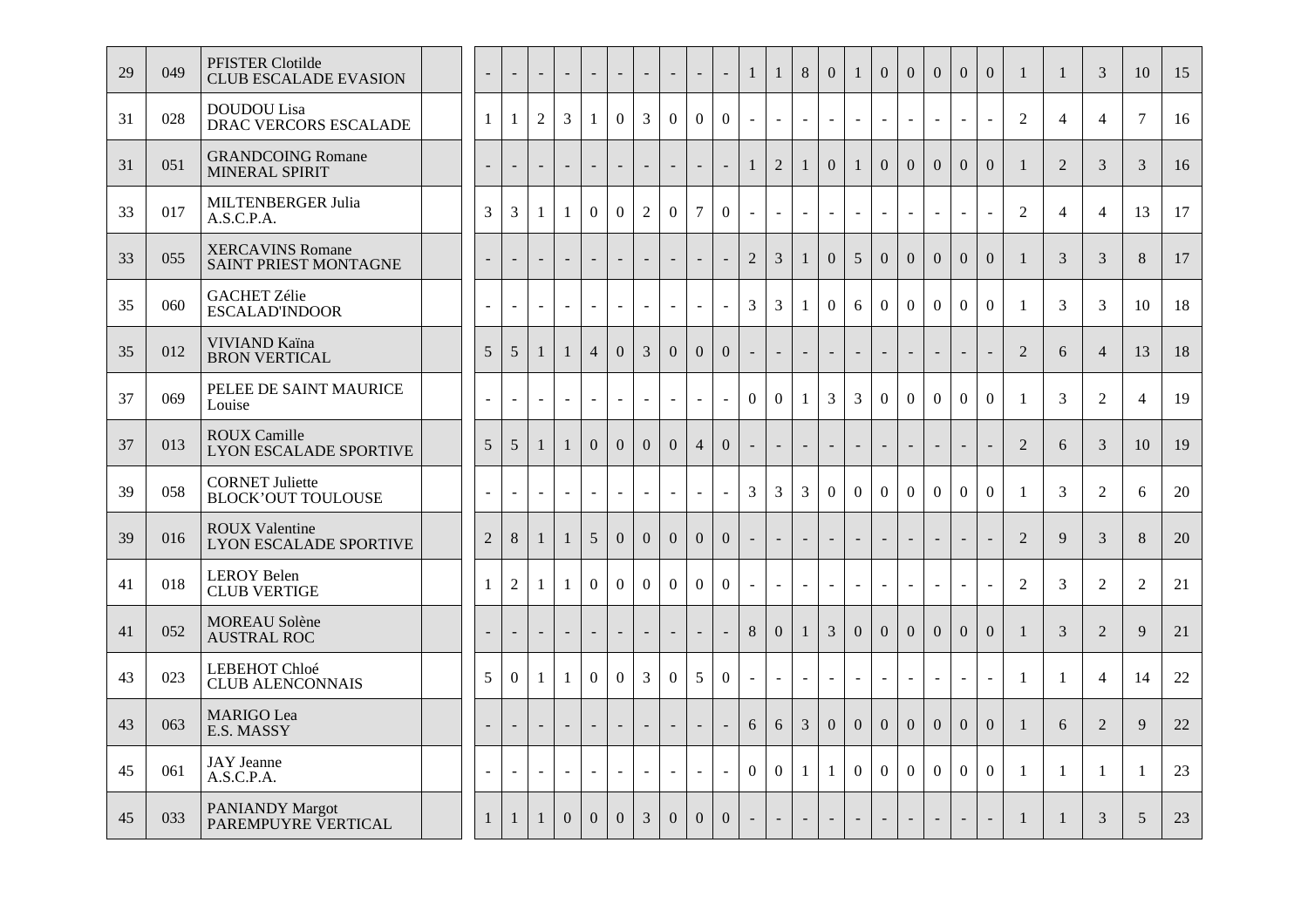| 29 | 049 | PFISTER Clotilde<br><b>CLUB ESCALADE EVASION</b>       | $\overline{\phantom{a}}$ | $\overline{\phantom{a}}$ | $\overline{\phantom{a}}$ | $\sim$   | $\sim$                   | $\overline{\phantom{a}}$ | $\overline{\phantom{a}}$ | $\blacksquare$           | $\blacksquare$           | $\overline{\phantom{a}}$ | 1                        | $\mathbf{1}$     | 8              | $\mathbf{0}$   | $\mathbf{1}$             | $\overline{0}$           | $\Omega$                 | $\mathbf{0}$             | $\overline{0}$           | $\overline{0}$           | $\mathbf{1}$   | 1              | 3              | 10                    | 15 |
|----|-----|--------------------------------------------------------|--------------------------|--------------------------|--------------------------|----------|--------------------------|--------------------------|--------------------------|--------------------------|--------------------------|--------------------------|--------------------------|------------------|----------------|----------------|--------------------------|--------------------------|--------------------------|--------------------------|--------------------------|--------------------------|----------------|----------------|----------------|-----------------------|----|
| 31 | 028 | <b>DOUDOU</b> Lisa<br>DRAC VERCORS ESCALADE            | $\mathbf{1}$             | 1                        | $\overline{2}$           | 3        | $\mathbf{1}$             | $\overline{0}$           | $\overline{3}$           | $\overline{0}$           | $\overline{0}$           | $\mathbf{0}$             | $\blacksquare$           | $\overline{a}$   |                |                | $\sim$                   | $\overline{a}$           | $\overline{a}$           | $\sim$                   |                          | $\sim$                   | $\overline{2}$ | $\overline{4}$ | $\overline{4}$ | $\overline{7}$        | 16 |
| 31 | 051 | <b>GRANDCOING Romane</b><br>MINERAL SPIRIT             |                          |                          | $\overline{\phantom{a}}$ |          | $\sim$                   | $\overline{\phantom{a}}$ | $\blacksquare$           | $\blacksquare$           |                          | $\equiv$                 | $\mathbf{1}$             | $\overline{2}$   | $\mathbf{1}$   | $\Omega$       | $\mathbf{1}$             | $\Omega$                 | $\Omega$                 | $\Omega$                 | $\Omega$                 | $\overline{0}$           | $\mathbf{1}$   | 2              | 3              | 3                     | 16 |
| 33 | 017 | <b>MILTENBERGER Julia</b><br>A.S.C.P.A.                | 3                        | 3                        | -1                       | -1       | $\boldsymbol{0}$         | $\overline{0}$           | $\overline{2}$           | $\boldsymbol{0}$         | $\overline{7}$           | $\mathbf{0}$             |                          | $\sim$           | $\sim$         |                | $\blacksquare$           | $\mathbf{r}$             | $\sim$                   | $\sim$                   | $\overline{a}$           | $\sim$                   | 2              | $\overline{4}$ | $\overline{4}$ | 13                    | 17 |
| 33 | 055 | <b>XERCAVINS Romane</b><br>SAINT PRIEST MONTAGNE       |                          |                          | $\sim$                   |          | $\overline{\phantom{a}}$ | $\sim$                   | $\sim$                   | $\overline{\phantom{a}}$ |                          | $\mathbf{r}$             | $\overline{2}$           | $\mathfrak{Z}$   | $\mathbf{1}$   | $\mathbf{0}$   | 5                        | $\overline{0}$           | $\mathbf{0}$             | $\mathbf{0}$             | $\mathbf{0}$             | $\overline{0}$           | $\mathbf{1}$   | 3              | 3              | 8                     | 17 |
| 35 | 060 | <b>GACHET Zélie</b><br><b>ESCALAD'INDOOR</b>           | $\sim$                   | $\overline{\phantom{a}}$ | $\sim$                   |          | $\omega$                 | $\blacksquare$           | $\blacksquare$           | $\overline{\phantom{a}}$ | $\sim$                   | $\omega$                 | 3                        | 3                | 1              | $\overline{0}$ | 6                        | $\overline{0}$           | $\mathbf{0}$             | $\overline{0}$           | $\overline{0}$           | $\mathbf{0}$             | $\mathbf{1}$   | 3              | 3              | 10                    | 18 |
| 35 | 012 | VIVIAND Kaïna<br><b>BRON VERTICAL</b>                  | 5 <sup>5</sup>           | 5                        | $\mathbf{1}$             | 1        | $\overline{4}$           | $\overline{0}$           | 3                        | $\mathbf{0}$             | $\mathbf{0}$             | $\overline{0}$           | $\overline{\phantom{a}}$ |                  |                |                | ÷                        |                          |                          |                          |                          | ÷.                       | $\overline{2}$ | 6              | $\overline{4}$ | 13                    | 18 |
| 37 | 069 | PELEE DE SAINT MAURICE<br>Louise                       | $\sim$                   | $\overline{a}$           | $\sim$                   | $\sim$   | $\mathbf{r}$             | $\blacksquare$           | $\sim$                   | $\mathbf{r}$             | $\overline{\phantom{a}}$ | $\mathbf{r}$             | $\overline{0}$           | $\boldsymbol{0}$ | $\mathbf{1}$   | 3              | 3                        | $\overline{0}$           | $\boldsymbol{0}$         | $\Omega$                 | $\overline{0}$           | $\Omega$                 | $\mathbf{1}$   | 3              | $\overline{2}$ | $\boldsymbol{\Delta}$ | 19 |
| 37 | 013 | <b>ROUX Camille</b><br><b>LYON ESCALADE SPORTIVE</b>   | $5\overline{)}$          | 5                        | 1                        | 1        | $\overline{0}$           | $\overline{0}$           | $\overline{0}$           | $\mathbf{0}$             | $\overline{4}$           | $\overline{0}$           | $\sim$                   | $\sim$           | $\sim$         |                | $\overline{\phantom{a}}$ | $\sim$                   | $\sim$                   | $\sim$                   |                          | $\blacksquare$           | 2              | 6              | 3              | 10                    | 19 |
| 39 | 058 | <b>CORNET Juliette</b><br><b>BLOCK'OUT TOULOUSE</b>    | $\overline{a}$           | $\overline{a}$           |                          |          | $\equiv$                 | $\blacksquare$           | $\sim$                   | $\equiv$                 |                          | $\omega$                 | 3                        | 3                | $\overline{3}$ | $\overline{0}$ | $\overline{0}$           | $\overline{0}$           | $\overline{0}$           | $\overline{0}$           | $\overline{0}$           | $\overline{0}$           | $\mathbf{1}$   | 3              | 2              | 6                     | 20 |
| 39 | 016 | <b>ROUX Valentine</b><br><b>LYON ESCALADE SPORTIVE</b> | $\overline{2}$           | $8\,$                    | 1                        | 1        | $5\overline{)}$          | $\boldsymbol{0}$         | $\boldsymbol{0}$         | $\boldsymbol{0}$         | $\mathbf{0}$             | $\overline{0}$           | $\sim$                   | $\sim$           | $\blacksquare$ |                | $\sim$                   | $\sim$                   | $\blacksquare$           | $\blacksquare$           | $\overline{a}$           | $\blacksquare$           | $\overline{2}$ | $\mathbf{Q}$   | 3              | 8                     | 20 |
| 41 | 018 | <b>LEROY Belen</b><br><b>CLUB VERTIGE</b>              | $\mathbf{1}$             | $\overline{2}$           | $\mathbf{1}$             | -1       | $\overline{0}$           | $\overline{0}$           | $\mathbf{0}$             | $\overline{0}$           | $\boldsymbol{0}$         | $\overline{0}$           | $\mathbf{r}$             | $\sim$           |                |                | $\sim$                   | $\sim$                   | $\sim$                   | $\sim$                   | $\overline{\phantom{a}}$ | $\sim$                   | $\overline{2}$ | 3              | 2              | $\overline{2}$        | 21 |
| 41 | 052 | <b>MOREAU Solène</b><br><b>AUSTRAL ROC</b>             | $\overline{\phantom{a}}$ |                          | $\overline{\phantom{a}}$ |          | $\sim$                   | $\overline{\phantom{a}}$ | $\overline{a}$           | $\overline{\phantom{a}}$ |                          |                          | 8                        | $\mathbf{0}$     |                | 3              | $\overline{0}$           | $\Omega$                 | $\Omega$                 | $\overline{0}$           | $\Omega$                 | $\overline{0}$           | $\mathbf{1}$   | 3              | $\overline{2}$ | $\mathbf Q$           | 21 |
| 43 | 023 | LEBEHOT Chloé<br><b>CLUB ALENCONNAIS</b>               | 5                        | $\boldsymbol{0}$         | $\mathbf{1}$             | 1        | $\overline{0}$           | $\overline{0}$           | $\mathfrak{Z}$           | $\overline{0}$           | 5                        | $\mathbf{0}$             | $\sim$                   | $\sim$           | $\sim$         |                | $\sim$                   | $\sim$                   | $\sim$                   | $\sim$                   |                          | $\overline{a}$           | $\overline{1}$ | $\mathbf{1}$   | $\overline{4}$ | 14                    | 22 |
| 43 | 063 | <b>MARIGO</b> Lea<br>E.S. MASSY                        |                          |                          | $\blacksquare$           |          | $\blacksquare$           | $\blacksquare$           | $\overline{a}$           | $\overline{\phantom{a}}$ |                          | $\equiv$                 | 6                        | 6                | $\overline{3}$ | $\overline{0}$ | $\overline{0}$           | $\overline{0}$           | $\overline{0}$           | $\mathbf{0}$             | $\mathbf{0}$             | $\overline{0}$           | $\overline{1}$ | 6              | $\overline{2}$ | 9                     | 22 |
| 45 | 061 | <b>JAY</b> Jeanne<br>A.S.C.P.A.                        | $\sim$                   | $\sim$                   | $\omega$                 | $\sim$   | $\sim$                   | $\sim$                   | $\blacksquare$           | $\sim$                   | $\sim$                   | $\omega$                 | $\overline{0}$           | $\mathbf{0}$     | $\mathbf{1}$   | $\mathbf{1}$   | $\overline{0}$           | $\overline{0}$           | $\boldsymbol{0}$         | $\overline{0}$           | $\mathbf{0}$             | $\overline{0}$           | $\mathbf{1}$   | 1              | 1              | -1                    | 23 |
| 45 | 033 | <b>PANIANDY Margot</b><br>PAREMPUYRE VERTICAL          | $\mathbf{1}$             | $\mathbf{1}$             | $\overline{1}$           | $\Omega$ | $\Omega$                 | $\Omega$                 | 3                        | $\Omega$                 | $\mathbf{0}$             | $\Omega$                 | $\sim$                   |                  |                |                | $\sim$                   | $\overline{\phantom{a}}$ | $\overline{\phantom{a}}$ | $\overline{\phantom{a}}$ | $\overline{\phantom{0}}$ | $\overline{\phantom{a}}$ | $\mathbf{1}$   | 1              | 3              | 5                     | 23 |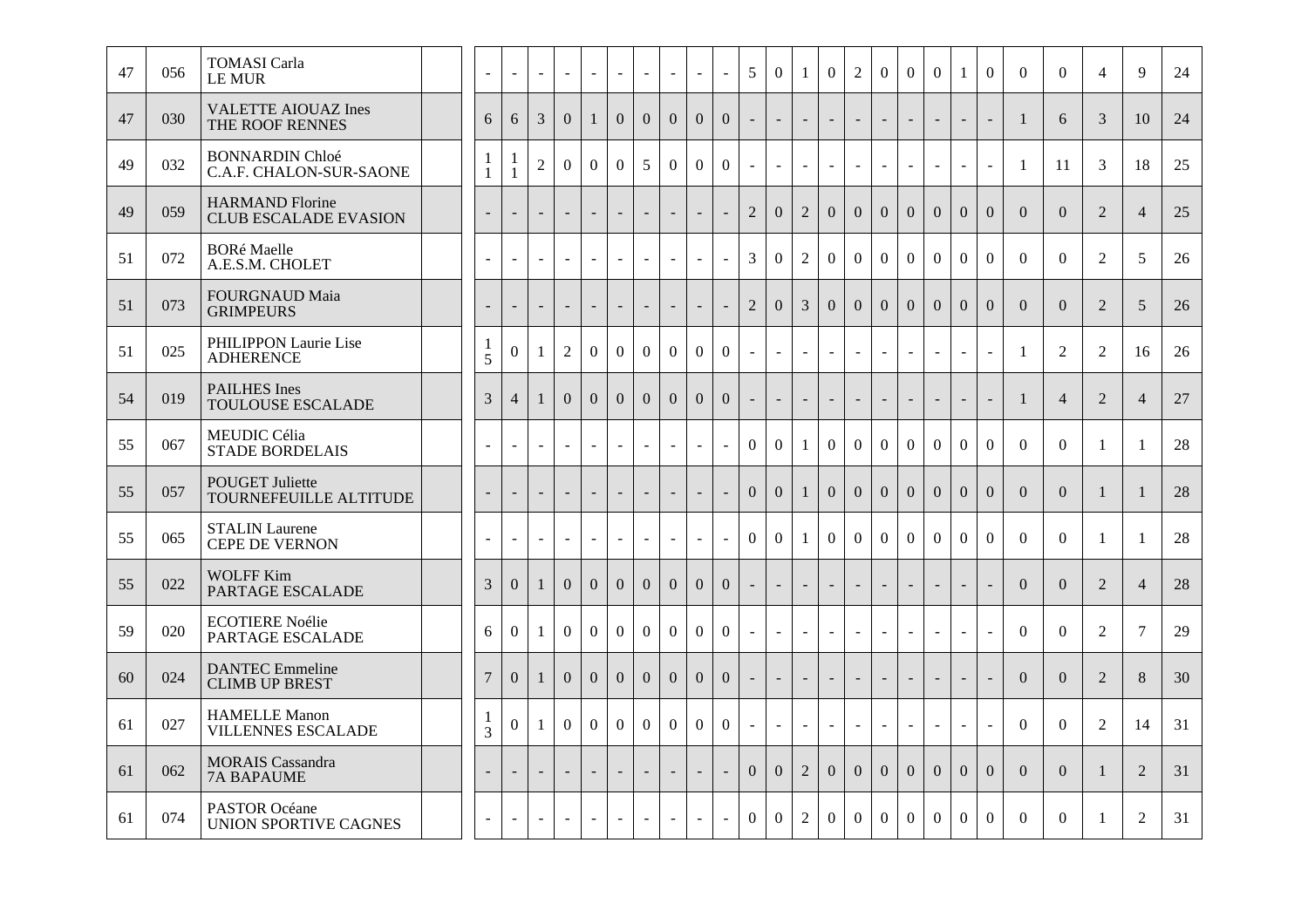| 47 | 056 | <b>TOMASI</b> Carla<br>LE MUR                          |                | $\sim$                   | $\mathbb{Z}^2$           | $\sim$                   | $\omega$       | $\sim$         | $\omega$                 | $\omega$                 | $\blacksquare$           | $\sim$         | 5              | $\overline{0}$           |                | $\theta$                 | $\overline{2}$           | $\Omega$       | $\overline{0}$           | $\overline{0}$           | $\mathbf{1}$             | $\overline{0}$           | $\theta$       | $\mathbf{0}$   | $\overline{4}$ | $\mathbf{Q}$   | 24 |
|----|-----|--------------------------------------------------------|----------------|--------------------------|--------------------------|--------------------------|----------------|----------------|--------------------------|--------------------------|--------------------------|----------------|----------------|--------------------------|----------------|--------------------------|--------------------------|----------------|--------------------------|--------------------------|--------------------------|--------------------------|----------------|----------------|----------------|----------------|----|
| 47 | 030 | <b>VALETTE AIOUAZ Ines</b><br>THE ROOF RENNES          | 6              | 6                        | 3                        | $\overline{0}$           | $\mathbf{1}$   | $\overline{0}$ | $\overline{0}$           | $\overline{0}$           | $\overline{0}$           | $\overline{0}$ |                | $\overline{\phantom{a}}$ |                |                          | $\overline{\phantom{a}}$ |                | $\overline{\phantom{a}}$ | $\overline{\phantom{a}}$ | $\overline{\phantom{a}}$ | $\blacksquare$           | $\mathbf{1}$   | 6              | 3              | 10             | 24 |
| 49 | 032 | <b>BONNARDIN Chloé</b><br>C.A.F. CHALON-SUR-SAONE      |                | $\mathbf{1}$             | $\overline{2}$           | $\boldsymbol{0}$         | $\overline{0}$ | $\Omega$       | 5                        | $\overline{0}$           | $\mathbf{0}$             | $\overline{0}$ | $\sim$         | $\blacksquare$           | L.             | $\blacksquare$           | $\overline{\phantom{a}}$ | $\blacksquare$ | $\blacksquare$           | $\overline{a}$           | $\blacksquare$           | $\overline{\phantom{a}}$ | -1             | 11             | 3              | 18             | 25 |
| 49 | 059 | <b>HARMAND Florine</b><br><b>CLUB ESCALADE EVASION</b> |                | $\overline{\phantom{a}}$ | $\blacksquare$           |                          | $\blacksquare$ | $\blacksquare$ | $\overline{\phantom{a}}$ | $\bar{\phantom{a}}$      |                          | $\blacksquare$ | $\overline{2}$ | $\Omega$                 | $\overline{2}$ | $\mathbf{0}$             | $\overline{0}$           | $\Omega$       | $\overline{0}$           | $\overline{0}$           | $\theta$                 | $\overline{0}$           | $\Omega$       | $\overline{0}$ | $\overline{2}$ | $\overline{4}$ | 25 |
| 51 | 072 | <b>BORé Maelle</b><br>A.E.S.M. CHOLET                  |                | $\blacksquare$           | $\overline{\phantom{a}}$ | ÷,                       | $\omega$       |                | $\sim$                   | $\overline{a}$           | $\overline{\phantom{a}}$ | $\sim$         | 3              | $\Omega$                 | $\overline{2}$ | $\theta$                 | $\overline{0}$           | $\theta$       | $\overline{0}$           | $\overline{0}$           | $\Omega$                 | $\Omega$                 | $\Omega$       | $\theta$       | 2              | 5              | 26 |
| 51 | 073 | <b>FOURGNAUD Maia</b><br><b>GRIMPEURS</b>              |                | $\blacksquare$           | $\sim$                   |                          | $\blacksquare$ |                | $\blacksquare$           | $\overline{a}$           |                          | $\blacksquare$ | $\overline{2}$ | $\overline{0}$           | 3              | $\mathbf{0}$             | $\mathbf{0}$             | $\overline{0}$ | $\overline{0}$           | $\mathbf{0}$             | $\mathbf{0}$             | $\overline{0}$           | $\Omega$       | $\overline{0}$ | $\overline{2}$ | 5              | 26 |
| 51 | 025 | PHILIPPON Laurie Lise<br><b>ADHERENCE</b>              | 1<br>5         | $\boldsymbol{0}$         | -1                       | $\overline{2}$           | $\overline{0}$ | $\theta$       | $\overline{0}$           | $\boldsymbol{0}$         | $\theta$                 | $\overline{0}$ |                | $\sim$                   |                |                          | $\sim$                   |                | $\sim$                   | $\overline{a}$           |                          | $\sim$                   | $\mathbf{1}$   | $\overline{2}$ | $\overline{2}$ | 16             | 26 |
| 54 | 019 | <b>PAILHES Ines</b><br><b>TOULOUSE ESCALADE</b>        | 3              | $\overline{4}$           |                          | $\Omega$                 | $\Omega$       | $\Omega$       | $\Omega$                 | $\Omega$                 | $\theta$                 | $\theta$       |                | $\overline{\phantom{a}}$ |                | $\overline{\phantom{a}}$ | $\overline{\phantom{a}}$ |                | $\overline{\phantom{a}}$ | $\overline{a}$           | $\overline{\phantom{a}}$ | $\overline{\phantom{a}}$ | $\mathbf{1}$   | $\overline{4}$ | $\overline{2}$ | $\overline{4}$ | 27 |
| 55 | 067 | MEUDIC Célia<br><b>STADE BORDELAIS</b>                 |                | $\blacksquare$           | $\sim$                   | $\sim$                   | $\omega$       |                | $\sim$                   | $\overline{\phantom{a}}$ | $\sim$                   | $\sim$         | $\overline{0}$ | $\overline{0}$           | -1             | $\overline{0}$           | $\mathbf{0}$             | $\overline{0}$ | $\overline{0}$           | $\overline{0}$           | $\mathbf{0}$             | $\overline{0}$           | $\overline{0}$ | $\overline{0}$ | 1              | -1             | 28 |
| 55 | 057 | <b>POUGET Juliette</b><br>TOURNEFEUILLE ALTITUDE       |                | $\equiv$                 | $\overline{a}$           | $\overline{a}$           | $\sim$         | $\sim$         | $\sim$                   | $\overline{a}$           | $\blacksquare$           | $\equiv$       | $\overline{0}$ | $\mathbf{0}$             | $\mathbf{1}$   | $\overline{0}$           | $\mathbf{0}$             | $\overline{0}$ | $\mathbf{0}$             | $\overline{0}$           | $\overline{0}$           | $\Omega$                 | $\Omega$       | $\mathbf{0}$   | 1              | -1             | 28 |
| 55 | 065 | <b>STALIN Laurene</b><br><b>CEPE DE VERNON</b>         |                | $\omega$                 | $\omega$                 | $\sim$                   | $\omega$       | $\sim$         | $\omega$                 | $\sim$                   | $\overline{\phantom{a}}$ | $\omega$       | $\theta$       | $\theta$                 | 1              | $\overline{0}$           | $\mathbf{0}$             | $\Omega$       | $\overline{0}$           | $\overline{0}$           | $\Omega$                 | $\Omega$                 | $\Omega$       | $\overline{0}$ | -1             | -1             | 28 |
| 55 | 022 | <b>WOLFF Kim</b><br>PARTAGE ESCALADE                   | 3              | $\overline{0}$           | 1                        | $\overline{0}$           | $\mathbf{0}$   | $\mathbf{0}$   | $\overline{0}$           | $\overline{0}$           | $\overline{0}$           | $\mathbf{0}$   |                | $\sim$                   |                |                          | $\blacksquare$           |                | $\overline{\phantom{a}}$ | $\overline{a}$           | $\overline{\phantom{a}}$ | $\overline{\phantom{a}}$ | $\overline{0}$ | $\overline{0}$ | $\overline{2}$ | $\overline{4}$ | 28 |
| 59 | 020 | <b>ECOTIERE Noélie</b><br>PARTAGE ESCALADE             | 6              | $\Omega$                 |                          | $\boldsymbol{0}$         | $\Omega$       | $\Omega$       | $\Omega$                 | $\overline{0}$           | $\boldsymbol{0}$         | $\Omega$       |                | $\blacksquare$           | $\overline{a}$ | $\blacksquare$           | $\sim$                   | $\blacksquare$ | $\blacksquare$           | ÷,                       | $\blacksquare$           | $\sim$                   | $\Omega$       | $\Omega$       | $\overline{2}$ | $\overline{7}$ | 29 |
| 60 | 024 | <b>DANTEC</b> Emmeline<br><b>CLIMB UP BREST</b>        | $\overline{7}$ | $\Omega$                 | $\overline{1}$           | $\overline{0}$           | $\overline{0}$ | $\overline{0}$ | $\overline{0}$           | $\overline{0}$           | $\mathbf{0}$             | $\overline{0}$ |                | $\blacksquare$           | $\sim$         |                          | $\sim$                   |                | $\mathbb{L}$             | $\overline{\phantom{a}}$ |                          | $\equiv$                 | $\Omega$       | $\Omega$       | $\overline{2}$ | 8              | 30 |
| 61 | 027 | <b>HAMELLE Manon</b><br><b>VILLENNES ESCALADE</b>      | 3              | $\overline{0}$           | $\mathbf{1}$             | $\overline{0}$           | $\overline{0}$ | $\overline{0}$ | $\overline{0}$           | $\mathbf{0}$             | $\overline{0}$           | $\overline{0}$ |                | $\blacksquare$           |                |                          | $\equiv$                 |                | $\blacksquare$           | $\overline{a}$           | $\overline{\phantom{a}}$ | $\blacksquare$           | $\theta$       | $\overline{0}$ | $\overline{2}$ | 14             | 31 |
| 61 | 062 | <b>MORAIS</b> Cassandra<br><b>7A BAPAUME</b>           |                | $\sim$                   | $\blacksquare$           |                          | $\blacksquare$ | $\sim$         | $\sim$                   | $\blacksquare$           | $\sim$                   | $\sim$         | $\overline{0}$ | $\overline{0}$           | $\overline{2}$ | $\overline{0}$           | $\mathbf{0}$             | $\overline{0}$ | $\overline{0}$           | $\mathbf{0}$             | $\mathbf{0}$             | $\Omega$                 | $\Omega$       | $\mathbf{0}$   | 1              | $\overline{2}$ | 31 |
| 61 | 074 | <b>PASTOR Océane</b><br>UNION SPORTIVE CAGNES          |                | $\sim$                   |                          | $\overline{\phantom{a}}$ | $\sim$         |                | $\sim$                   | $\overline{a}$           | $\overline{\phantom{a}}$ | $\sim$         | $\Omega$       | $\Omega$                 | 2              | $\theta$                 | $\Omega$                 | $\Omega$       | $\Omega$                 | $\overline{0}$           | $\theta$                 | $\Omega$                 | $\Omega$       | $\Omega$       | $\mathbf{1}$   | 2              | 31 |